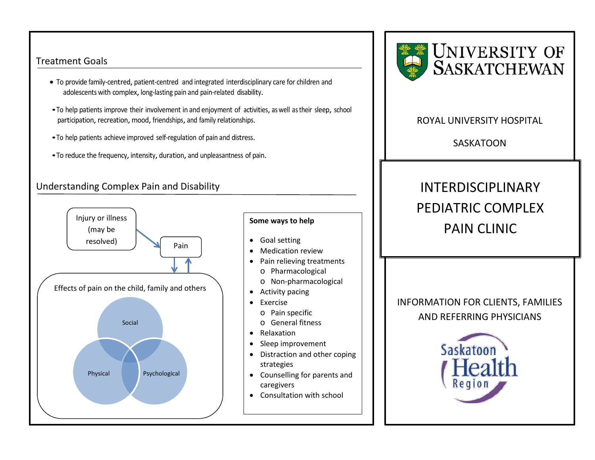#### Treatment Goals

- To provide family-centred, patient-centred and integrated interdisciplinary care for children and adolescents with complex, long-lasting pain and pain-related disability.
- To help patients improve their involvement in and enjoyment of activities, as well as their sleep, school participation, recreation, mood, friendships, and family relationships.
- To help patients achieve improved self-regulation of pain and distress.
- To reduce the frequency, intensity, duration, and unpleasantness of pain.

## Understanding Complex Pain and Disability



#### **Some ways to help**

- Goal setting
- Medication review
- Pain relieving treatments
	- o Pharmacological
	- o Non-pharmacological
- Activity pacing
- Exercise
	- o Pain specific
	- o General fitness
- Relaxation
- Sleep improvement
- Distraction and other coping strategies
- Counselling for parents and caregivers
- Consultation with school



### ROYAL UNIVERSITY HOSPITAL

SASKATOON

# INTERDISCIPLINARY PEDIATRIC COMPLEX PAIN CLINIC

INFORMATION FOR CLIENTS, FAMILIES AND REFERRING PHYSICIANS